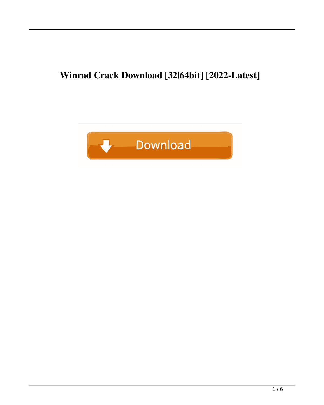# **Winrad Crack Download [32|64bit] [2022-Latest]**

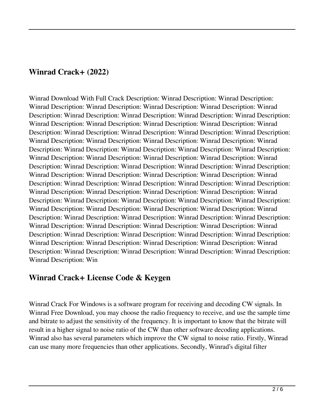### **Winrad Crack+ (2022)**

Winrad Download With Full Crack Description: Winrad Description: Winrad Description: Winrad Description: Winrad Description: Winrad Description: Winrad Description: Winrad Description: Winrad Description: Winrad Description: Winrad Description: Winrad Description: Winrad Description: Winrad Description: Winrad Description: Winrad Description: Winrad Description: Winrad Description: Winrad Description: Winrad Description: Winrad Description: Winrad Description: Winrad Description: Winrad Description: Winrad Description: Winrad Description: Winrad Description: Winrad Description: Winrad Description: Winrad Description: Winrad Description: Winrad Description: Winrad Description: Winrad Description: Winrad Description: Winrad Description: Winrad Description: Winrad Description: Winrad Description: Winrad Description: Winrad Description: Winrad Description: Winrad Description: Winrad Description: Winrad Description: Winrad Description: Winrad Description: Winrad Description: Winrad Description: Winrad Description: Winrad Description: Winrad Description: Winrad Description: Winrad Description: Winrad Description: Winrad Description: Winrad Description: Winrad Description: Winrad Description: Winrad Description: Winrad Description: Winrad Description: Winrad Description: Winrad Description: Winrad Description: Winrad Description: Winrad Description: Winrad Description: Winrad Description: Winrad Description: Winrad Description: Winrad Description: Winrad Description: Winrad Description: Winrad Description: Winrad Description: Winrad Description: Winrad Description: Winrad Description: Winrad Description: Winrad Description: Winrad Description: Winrad Description: Winrad Description: Winrad Description: Win

# **Winrad Crack+ License Code & Keygen**

Winrad Crack For Windows is a software program for receiving and decoding CW signals. In Winrad Free Download, you may choose the radio frequency to receive, and use the sample time and bitrate to adjust the sensitivity of the frequency. It is important to know that the bitrate will result in a higher signal to noise ratio of the CW than other software decoding applications. Winrad also has several parameters which improve the CW signal to noise ratio. Firstly, Winrad can use many more frequencies than other applications. Secondly, Winrad's digital filter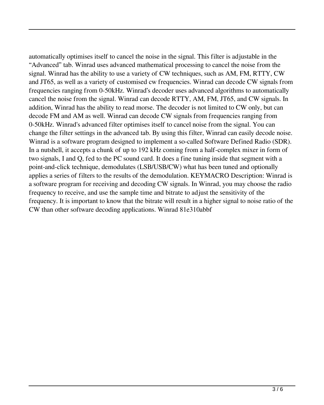automatically optimises itself to cancel the noise in the signal. This filter is adjustable in the "Advanced" tab. Winrad uses advanced mathematical processing to cancel the noise from the signal. Winrad has the ability to use a variety of CW techniques, such as AM, FM, RTTY, CW and JT65, as well as a variety of customised cw frequencies. Winrad can decode CW signals from frequencies ranging from 0-50kHz. Winrad's decoder uses advanced algorithms to automatically cancel the noise from the signal. Winrad can decode RTTY, AM, FM, JT65, and CW signals. In addition, Winrad has the ability to read morse. The decoder is not limited to CW only, but can decode FM and AM as well. Winrad can decode CW signals from frequencies ranging from 0-50kHz. Winrad's advanced filter optimises itself to cancel noise from the signal. You can change the filter settings in the advanced tab. By using this filter, Winrad can easily decode noise. Winrad is a software program designed to implement a so-called Software Defined Radio (SDR). In a nutshell, it accepts a chunk of up to 192 kHz coming from a half-complex mixer in form of two signals, I and Q, fed to the PC sound card. It does a fine tuning inside that segment with a point-and-click technique, demodulates (LSB/USB/CW) what has been tuned and optionally applies a series of filters to the results of the demodulation. KEYMACRO Description: Winrad is a software program for receiving and decoding CW signals. In Winrad, you may choose the radio frequency to receive, and use the sample time and bitrate to adjust the sensitivity of the frequency. It is important to know that the bitrate will result in a higher signal to noise ratio of the CW than other software decoding applications. Winrad 81e310abbf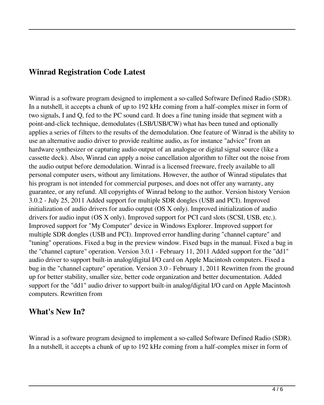### **Winrad Registration Code Latest**

Winrad is a software program designed to implement a so-called Software Defined Radio (SDR). In a nutshell, it accepts a chunk of up to 192 kHz coming from a half-complex mixer in form of two signals, I and Q, fed to the PC sound card. It does a fine tuning inside that segment with a point-and-click technique, demodulates (LSB/USB/CW) what has been tuned and optionally applies a series of filters to the results of the demodulation. One feature of Winrad is the ability to use an alternative audio driver to provide realtime audio, as for instance "advice" from an hardware synthesizer or capturing audio output of an analogue or digital signal source (like a cassette deck). Also, Winrad can apply a noise cancellation algorithm to filter out the noise from the audio output before demodulation. Winrad is a licensed freeware, freely available to all personal computer users, without any limitations. However, the author of Winrad stipulates that his program is not intended for commercial purposes, and does not offer any warranty, any guarantee, or any refund. All copyrights of Winrad belong to the author. Version history Version 3.0.2 - July 25, 2011 Added support for multiple SDR dongles (USB and PCI). Improved initialization of audio drivers for audio output (OS X only). Improved initialization of audio drivers for audio input (OS X only). Improved support for PCI card slots (SCSI, USB, etc.). Improved support for "My Computer" device in Windows Explorer. Improved support for multiple SDR dongles (USB and PCI). Improved error handling during "channel capture" and "tuning" operations. Fixed a bug in the preview window. Fixed bugs in the manual. Fixed a bug in the "channel capture" operation. Version 3.0.1 - February 11, 2011 Added support for the "dd1" audio driver to support built-in analog/digital I/O card on Apple Macintosh computers. Fixed a bug in the "channel capture" operation. Version 3.0 - February 1, 2011 Rewritten from the ground up for better stability, smaller size, better code organization and better documentation. Added support for the "dd1" audio driver to support built-in analog/digital I/O card on Apple Macintosh computers. Rewritten from

#### **What's New In?**

Winrad is a software program designed to implement a so-called Software Defined Radio (SDR). In a nutshell, it accepts a chunk of up to 192 kHz coming from a half-complex mixer in form of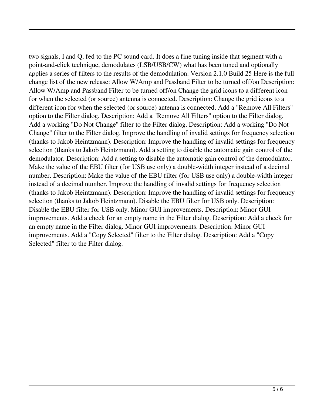two signals, I and Q, fed to the PC sound card. It does a fine tuning inside that segment with a point-and-click technique, demodulates (LSB/USB/CW) what has been tuned and optionally applies a series of filters to the results of the demodulation. Version 2.1.0 Build 25 Here is the full change list of the new release: Allow W/Amp and Passband Filter to be turned off/on Description: Allow W/Amp and Passband Filter to be turned off/on Change the grid icons to a different icon for when the selected (or source) antenna is connected. Description: Change the grid icons to a different icon for when the selected (or source) antenna is connected. Add a "Remove All Filters" option to the Filter dialog. Description: Add a "Remove All Filters" option to the Filter dialog. Add a working "Do Not Change" filter to the Filter dialog. Description: Add a working "Do Not Change" filter to the Filter dialog. Improve the handling of invalid settings for frequency selection (thanks to Jakob Heintzmann). Description: Improve the handling of invalid settings for frequency selection (thanks to Jakob Heintzmann). Add a setting to disable the automatic gain control of the demodulator. Description: Add a setting to disable the automatic gain control of the demodulator. Make the value of the EBU filter (for USB use only) a double-width integer instead of a decimal number. Description: Make the value of the EBU filter (for USB use only) a double-width integer instead of a decimal number. Improve the handling of invalid settings for frequency selection (thanks to Jakob Heintzmann). Description: Improve the handling of invalid settings for frequency selection (thanks to Jakob Heintzmann). Disable the EBU filter for USB only. Description: Disable the EBU filter for USB only. Minor GUI improvements. Description: Minor GUI improvements. Add a check for an empty name in the Filter dialog. Description: Add a check for an empty name in the Filter dialog. Minor GUI improvements. Description: Minor GUI improvements. Add a "Copy Selected" filter to the Filter dialog. Description: Add a "Copy Selected" filter to the Filter dialog.